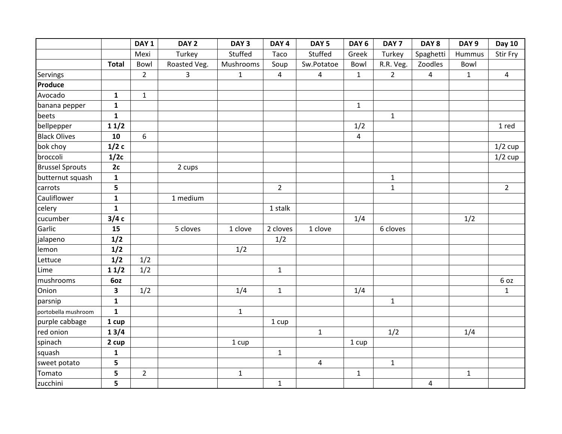|                        |                         | DAY <sub>1</sub> | DAY <sub>2</sub> | DAY <sub>3</sub> | DAY <sub>4</sub> | DAY <sub>5</sub> | DAY <sub>6</sub> | DAY <sub>7</sub> | DAY <sub>8</sub> | DAY <sub>9</sub> | <b>Day 10</b>  |
|------------------------|-------------------------|------------------|------------------|------------------|------------------|------------------|------------------|------------------|------------------|------------------|----------------|
|                        |                         | Mexi             | Turkey           | Stuffed          | Taco             | Stuffed          | Greek            | Turkey           | Spaghetti        | Hummus           | Stir Fry       |
|                        | <b>Total</b>            | Bowl             | Roasted Veg.     | Mushrooms        | Soup             | Sw.Potatoe       | Bowl             | R.R. Veg.        | Zoodles          | Bowl             |                |
| Servings               |                         | $\overline{2}$   | $\mathbf{3}$     | $\mathbf{1}$     | $\overline{4}$   | 4                | $\mathbf{1}$     | $2^{\circ}$      | $\overline{4}$   | $\mathbf{1}$     | $\overline{4}$ |
| Produce                |                         |                  |                  |                  |                  |                  |                  |                  |                  |                  |                |
| Avocado                | $\mathbf{1}$            | $\mathbf{1}$     |                  |                  |                  |                  |                  |                  |                  |                  |                |
| banana pepper          | $\mathbf{1}$            |                  |                  |                  |                  |                  | $\mathbf{1}$     |                  |                  |                  |                |
| beets                  | $\mathbf{1}$            |                  |                  |                  |                  |                  |                  | $\mathbf{1}$     |                  |                  |                |
| bellpepper             | 11/2                    |                  |                  |                  |                  |                  | 1/2              |                  |                  |                  | 1 red          |
| <b>Black Olives</b>    | 10                      | 6                |                  |                  |                  |                  | $\overline{4}$   |                  |                  |                  |                |
| bok choy               | 1/2c                    |                  |                  |                  |                  |                  |                  |                  |                  |                  | $1/2$ cup      |
| broccoli               | 1/2c                    |                  |                  |                  |                  |                  |                  |                  |                  |                  | $1/2$ cup      |
| <b>Brussel Sprouts</b> | 2c                      |                  | 2 cups           |                  |                  |                  |                  |                  |                  |                  |                |
| butternut squash       | $\mathbf{1}$            |                  |                  |                  |                  |                  |                  | $\mathbf{1}$     |                  |                  |                |
| carrots                | 5                       |                  |                  |                  | $\overline{2}$   |                  |                  | $\mathbf{1}$     |                  |                  | $\overline{2}$ |
| Cauliflower            | $\mathbf{1}$            |                  | 1 medium         |                  |                  |                  |                  |                  |                  |                  |                |
| celery                 | $\mathbf{1}$            |                  |                  |                  | 1 stalk          |                  |                  |                  |                  |                  |                |
| cucumber               | 3/4c                    |                  |                  |                  |                  |                  | 1/4              |                  |                  | 1/2              |                |
| Garlic                 | 15                      |                  | 5 cloves         | 1 clove          | 2 cloves         | 1 clove          |                  | 6 cloves         |                  |                  |                |
| jalapeno               | 1/2                     |                  |                  |                  | 1/2              |                  |                  |                  |                  |                  |                |
| lemon                  | 1/2                     |                  |                  | 1/2              |                  |                  |                  |                  |                  |                  |                |
| Lettuce                | 1/2                     | 1/2              |                  |                  |                  |                  |                  |                  |                  |                  |                |
| Lime                   | 11/2                    | 1/2              |                  |                  | $\mathbf{1}$     |                  |                  |                  |                  |                  |                |
| mushrooms              | 6oz                     |                  |                  |                  |                  |                  |                  |                  |                  |                  | 6 oz           |
| Onion                  | $\overline{\mathbf{3}}$ | 1/2              |                  | 1/4              | $\mathbf 1$      |                  | 1/4              |                  |                  |                  | $\mathbf 1$    |
| parsnip                | $\mathbf{1}$            |                  |                  |                  |                  |                  |                  | $\mathbf{1}$     |                  |                  |                |
| portobella mushroom    | $\mathbf{1}$            |                  |                  | $\mathbf{1}$     |                  |                  |                  |                  |                  |                  |                |
| purple cabbage         | 1 cup                   |                  |                  |                  | 1 cup            |                  |                  |                  |                  |                  |                |
| red onion              | 13/4                    |                  |                  |                  |                  | $\mathbf{1}$     |                  | 1/2              |                  | 1/4              |                |
| spinach                | 2 cup                   |                  |                  | 1 cup            |                  |                  | 1 cup            |                  |                  |                  |                |
| squash                 | $\mathbf{1}$            |                  |                  |                  | $\mathbf 1$      |                  |                  |                  |                  |                  |                |
| sweet potato           | 5                       |                  |                  |                  |                  | $\overline{4}$   |                  | $\mathbf{1}$     |                  |                  |                |
| Tomato                 | 5                       | $\overline{2}$   |                  | $\mathbf{1}$     |                  |                  | $\mathbf 1$      |                  |                  | $\mathbf 1$      |                |
| zucchini               | 5                       |                  |                  |                  | $\mathbf{1}$     |                  |                  |                  | $\overline{4}$   |                  |                |